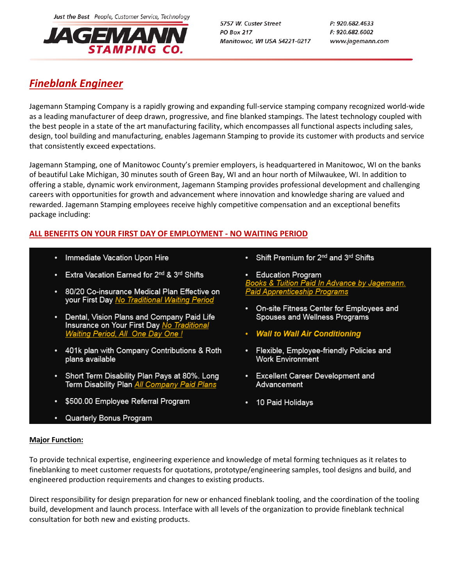Just the Best People, Customer Service, Technology



5757 W. Custer Street **PO Box 217** Manitowoc, WI USA 54221-0217 P: 920.682.4633 F: 920.682.6002 www.jagemann.com

# *Fineblank Engineer*

Jagemann Stamping Company is a rapidly growing and expanding full-service stamping company recognized world-wide as a leading manufacturer of deep drawn, progressive, and fine blanked stampings. The latest technology coupled with the best people in a state of the art manufacturing facility, which encompasses all functional aspects including sales, design, tool building and manufacturing, enables Jagemann Stamping to provide its customer with products and service that consistently exceed expectations.

Jagemann Stamping, one of Manitowoc County's premier employers, is headquartered in Manitowoc, WI on the banks of beautiful Lake Michigan, 30 minutes south of Green Bay, WI and an hour north of Milwaukee, WI. In addition to offering a stable, dynamic work environment, Jagemann Stamping provides professional development and challenging careers with opportunities for growth and advancement where innovation and knowledge sharing are valued and rewarded. Jagemann Stamping employees receive highly competitive compensation and an exceptional benefits package including:

# **ALL BENEFITS ON YOUR FIRST DAY OF EMPLOYMENT - NO WAITING PERIOD**

- Immediate Vacation Upon Hire
- Extra Vacation Earned for 2<sup>nd</sup> & 3<sup>rd</sup> Shifts
- 80/20 Co-insurance Medical Plan Effective on your First Day No Traditional Waiting Period
- Dental, Vision Plans and Company Paid Life Insurance on Your First Day No Traditional Waiting Period, All One Day One !
- 401k plan with Company Contributions & Roth plans available
- Short Term Disability Plan Pays at 80%. Long Term Disability Plan All Company Paid Plans
- \$500.00 Employee Referral Program
- Quarterly Bonus Program

• Shift Premium for 2<sup>nd</sup> and 3<sup>rd</sup> Shifts

**Education Program** <u>Books & Tuition Paid In Advance by Jagemann.</u> **Paid Apprenticeship Programs** 

- On-site Fitness Center for Employees and Spouses and Wellness Programs
- Wall to Wall Air Conditioning
- Flexible, Employee-friendly Policies and **Work Environment**
- Excellent Career Development and Advancement
- 10 Paid Holidays

## **Major Function:**

To provide technical expertise, engineering experience and knowledge of metal forming techniques as it relates to fineblanking to meet customer requests for quotations, prototype/engineering samples, tool designs and build, and engineered production requirements and changes to existing products.

Direct responsibility for design preparation for new or enhanced fineblank tooling, and the coordination of the tooling build, development and launch process. Interface with all levels of the organization to provide fineblank technical consultation for both new and existing products.